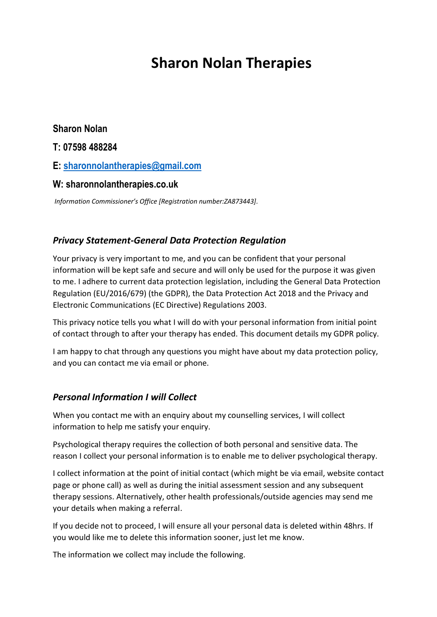# **Sharon Nolan Therapies**

#### **Sharon Nolan**

#### **T: 07598 488284**

# **E: [sharonnolantherapies@gmail.com](mailto:sharonnolantherapies@gmail.com)**

#### **W: sharonnolantherapies.co.uk**

*Information Commissioner's Office [Registration number:ZA873443].*

### *Privacy Statement-General Data Protection Regulation*

Your privacy is very important to me, and you can be confident that your personal information will be kept safe and secure and will only be used for the purpose it was given to me. I adhere to current data protection legislation, including the General Data Protection Regulation (EU/2016/679) (the GDPR), the Data Protection Act 2018 and the Privacy and Electronic Communications (EC Directive) Regulations 2003.

This privacy notice tells you what I will do with your personal information from initial point of contact through to after your therapy has ended. This document details my GDPR policy.

I am happy to chat through any questions you might have about my data protection policy, and you can contact me via email or phone.

# *Personal Information I will Collect*

When you contact me with an enquiry about my counselling services, I will collect information to help me satisfy your enquiry.

Psychological therapy requires the collection of both personal and sensitive data. The reason I collect your personal information is to enable me to deliver psychological therapy.

I collect information at the point of initial contact (which might be via email, website contact page or phone call) as well as during the initial assessment session and any subsequent therapy sessions. Alternatively, other health professionals/outside agencies may send me your details when making a referral.

If you decide not to proceed, I will ensure all your personal data is deleted within 48hrs. If you would like me to delete this information sooner, just let me know.

The information we collect may include the following.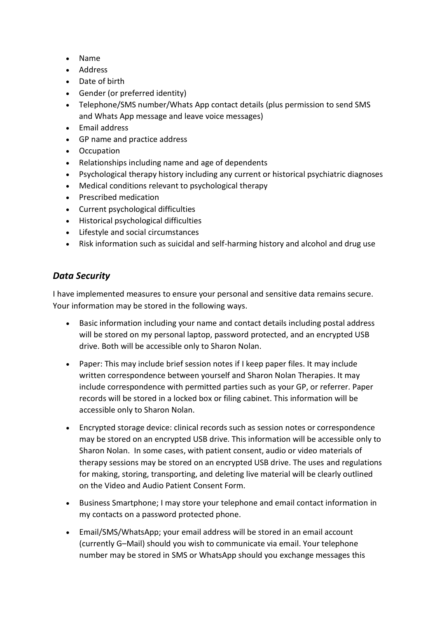- Name
- Address
- Date of birth
- Gender (or preferred identity)
- Telephone/SMS number/Whats App contact details (plus permission to send SMS and Whats App message and leave voice messages)
- Email address
- GP name and practice address
- Occupation
- Relationships including name and age of dependents
- Psychological therapy history including any current or historical psychiatric diagnoses
- Medical conditions relevant to psychological therapy
- Prescribed medication
- Current psychological difficulties
- Historical psychological difficulties
- Lifestyle and social circumstances
- Risk information such as suicidal and self-harming history and alcohol and drug use

#### *Data Security*

I have implemented measures to ensure your personal and sensitive data remains secure. Your information may be stored in the following ways.

- Basic information including your name and contact details including postal address will be stored on my personal laptop, password protected, and an encrypted USB drive. Both will be accessible only to Sharon Nolan.
- Paper: This may include brief session notes if I keep paper files. It may include written correspondence between yourself and Sharon Nolan Therapies. It may include correspondence with permitted parties such as your GP, or referrer. Paper records will be stored in a locked box or filing cabinet. This information will be accessible only to Sharon Nolan.
- Encrypted storage device: clinical records such as session notes or correspondence may be stored on an encrypted USB drive. This information will be accessible only to Sharon Nolan. In some cases, with patient consent, audio or video materials of therapy sessions may be stored on an encrypted USB drive. The uses and regulations for making, storing, transporting, and deleting live material will be clearly outlined on the Video and Audio Patient Consent Form.
- Business Smartphone; I may store your telephone and email contact information in my contacts on a password protected phone.
- Email/SMS/WhatsApp; your email address will be stored in an email account (currently G–Mail) should you wish to communicate via email. Your telephone number may be stored in SMS or WhatsApp should you exchange messages this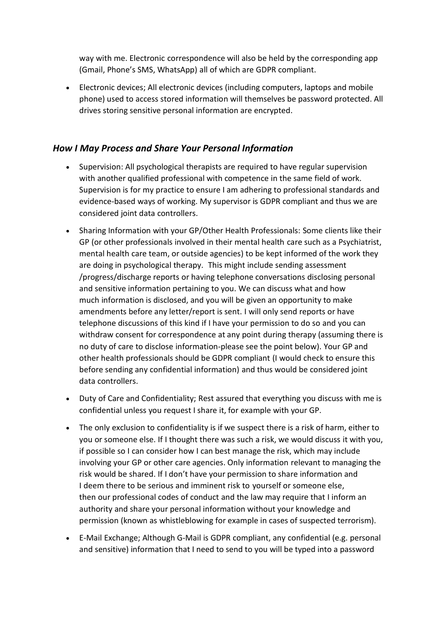way with me. Electronic correspondence will also be held by the corresponding app (Gmail, Phone's SMS, WhatsApp) all of which are GDPR compliant.

• Electronic devices; All electronic devices (including computers, laptops and mobile phone) used to access stored information will themselves be password protected. All drives storing sensitive personal information are encrypted.

#### *How I May Process and Share Your Personal Information*

- Supervision: All psychological therapists are required to have regular supervision with another qualified professional with competence in the same field of work. Supervision is for my practice to ensure I am adhering to professional standards and evidence-based ways of working. My supervisor is GDPR compliant and thus we are considered joint data controllers.
- Sharing Information with your GP/Other Health Professionals: Some clients like their GP (or other professionals involved in their mental health care such as a Psychiatrist, mental health care team, or outside agencies) to be kept informed of the work they are doing in psychological therapy. This might include sending assessment /progress/discharge reports or having telephone conversations disclosing personal and sensitive information pertaining to you. We can discuss what and how much information is disclosed, and you will be given an opportunity to make amendments before any letter/report is sent. I will only send reports or have telephone discussions of this kind if I have your permission to do so and you can withdraw consent for correspondence at any point during therapy (assuming there is no duty of care to disclose information-please see the point below). Your GP and other health professionals should be GDPR compliant (I would check to ensure this before sending any confidential information) and thus would be considered joint data controllers.
- Duty of Care and Confidentiality; Rest assured that everything you discuss with me is confidential unless you request I share it, for example with your GP.
- The only exclusion to confidentiality is if we suspect there is a risk of harm, either to you or someone else. If I thought there was such a risk, we would discuss it with you, if possible so I can consider how I can best manage the risk, which may include involving your GP or other care agencies. Only information relevant to managing the risk would be shared. If I don't have your permission to share information and I deem there to be serious and imminent risk to yourself or someone else, then our professional codes of conduct and the law may require that I inform an authority and share your personal information without your knowledge and permission (known as whistleblowing for example in cases of suspected terrorism).
- E-Mail Exchange; Although G-Mail is GDPR compliant, any confidential (e.g. personal and sensitive) information that I need to send to you will be typed into a password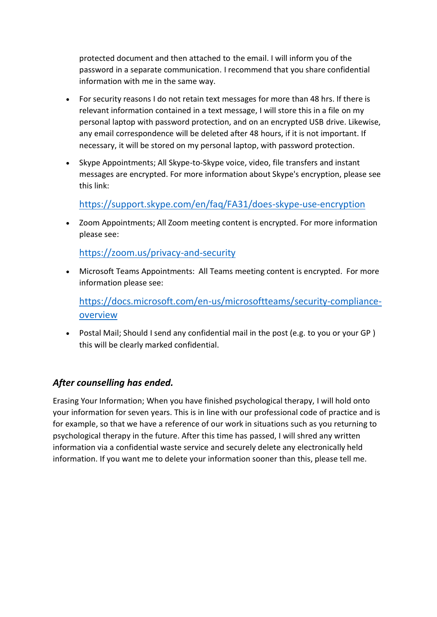protected document and then attached to the email. I will inform you of the password in a separate communication. I recommend that you share confidential information with me in the same way.

- For security reasons I do not retain text messages for more than 48 hrs. If there is relevant information contained in a text message, I will store this in a file on my personal laptop with password protection, and on an encrypted USB drive. Likewise, any email correspondence will be deleted after 48 hours, if it is not important. If necessary, it will be stored on my personal laptop, with password protection.
- Skype Appointments; All Skype-to-Skype voice, video, file transfers and instant messages are encrypted. For more information about Skype's encryption, please see this link:

<https://support.skype.com/en/faq/FA31/does-skype-use-encryption>

• Zoom Appointments; All Zoom meeting content is encrypted. For more information please see:

<https://zoom.us/privacy-and-security>

• Microsoft Teams Appointments: All Teams meeting content is encrypted. For more information please see:

[https://docs.microsoft.com/en-us/microsoftteams/security-compliance](https://docs.microsoft.com/en-us/microsoftteams/security-compliance-overview)[overview](https://docs.microsoft.com/en-us/microsoftteams/security-compliance-overview)

• Postal Mail; Should I send any confidential mail in the post (e.g. to you or your GP ) this will be clearly marked confidential.

# *After counselling has ended.*

Erasing Your Information; When you have finished psychological therapy, I will hold onto your information for seven years. This is in line with our professional code of practice and is for example, so that we have a reference of our work in situations such as you returning to psychological therapy in the future. After this time has passed, I will shred any written information via a confidential waste service and securely delete any electronically held information. If you want me to delete your information sooner than this, please tell me.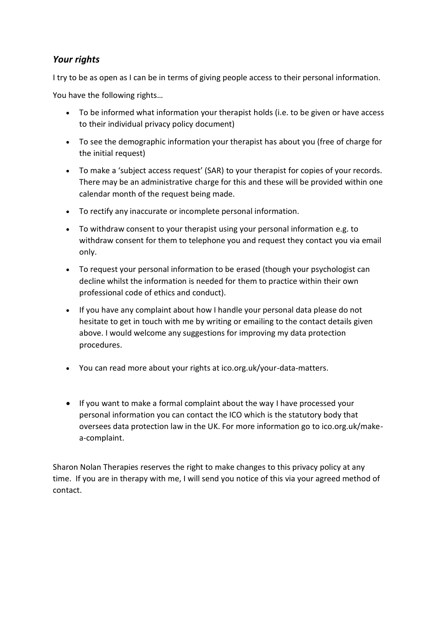# *Your rights*

I try to be as open as I can be in terms of giving people access to their personal information.

You have the following rights…

- To be informed what information your therapist holds (i.e. to be given or have access to their individual privacy policy document)
- To see the demographic information your therapist has about you (free of charge for the initial request)
- To make a 'subject access request' (SAR) to your therapist for copies of your records. There may be an administrative charge for this and these will be provided within one calendar month of the request being made.
- To rectify any inaccurate or incomplete personal information.
- To withdraw consent to your therapist using your personal information e.g. to withdraw consent for them to telephone you and request they contact you via email only.
- To request your personal information to be erased (though your psychologist can decline whilst the information is needed for them to practice within their own professional code of ethics and conduct).
- If you have any complaint about how I handle your personal data please do not hesitate to get in touch with me by writing or emailing to the contact details given above. I would welcome any suggestions for improving my data protection procedures.
- You can read more about your rights at ico.org.uk/your-data-matters.
- If you want to make a formal complaint about the way I have processed your personal information you can contact the ICO which is the statutory body that oversees data protection law in the UK. For more information go to ico.org.uk/makea-complaint.

Sharon Nolan Therapies reserves the right to make changes to this privacy policy at any time. If you are in therapy with me, I will send you notice of this via your agreed method of contact.